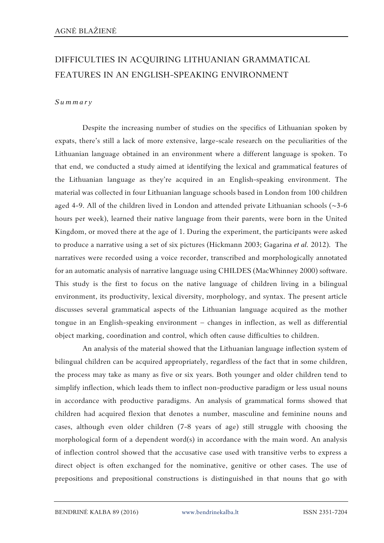## DIFFICULTIES IN ACQUIRING LITHUANIAN GRAMMATICAL FEATURES IN AN ENGLISH-SPEAKING ENVIRONMENT

## *S u m m a r y*

Despite the increasing number of studies on the specifics of Lithuanian spoken by expats, there's still a lack of more extensive, large-scale research on the peculiarities of the Lithuanian language obtained in an environment where a different language is spoken. To that end, we conducted a study aimed at identifying the lexical and grammatical features of the Lithuanian language as they're acquired in an English-speaking environment. The material was collected in four Lithuanian language schools based in London from 100 children aged 4-9. All of the children lived in London and attended private Lithuanian schools  $(\sim]3-6$ hours per week), learned their native language from their parents, were born in the United Kingdom, or moved there at the age of 1. During the experiment, the participants were asked to produce a narrative using a set of six pictures (Hickmann 2003; Gagarina *et al.* 2012). The narratives were recorded using a voice recorder, transcribed and morphologically annotated for an automatic analysis of narrative language using CHILDES (MacWhinney 2000) software. This study is the first to focus on the native language of children living in a bilingual environment, its productivity, lexical diversity, morphology, and syntax. The present article discusses several grammatical aspects of the Lithuanian language acquired as the mother tongue in an English-speaking environment – changes in inflection, as well as differential object marking, coordination and control, which often cause difficulties to children.

An analysis of the material showed that the Lithuanian language inflection system of bilingual children can be acquired appropriately, regardless of the fact that in some children, the process may take as many as five or six years. Both younger and older children tend to simplify inflection, which leads them to inflect non-productive paradigm or less usual nouns in accordance with productive paradigms. An analysis of grammatical forms showed that children had acquired flexion that denotes a number, masculine and feminine nouns and cases, although even older children (7-8 years of age) still struggle with choosing the morphological form of a dependent word(s) in accordance with the main word. An analysis of inflection control showed that the accusative case used with transitive verbs to express a direct object is often exchanged for the nominative, genitive or other cases. The use of prepositions and prepositional constructions is distinguished in that nouns that go with